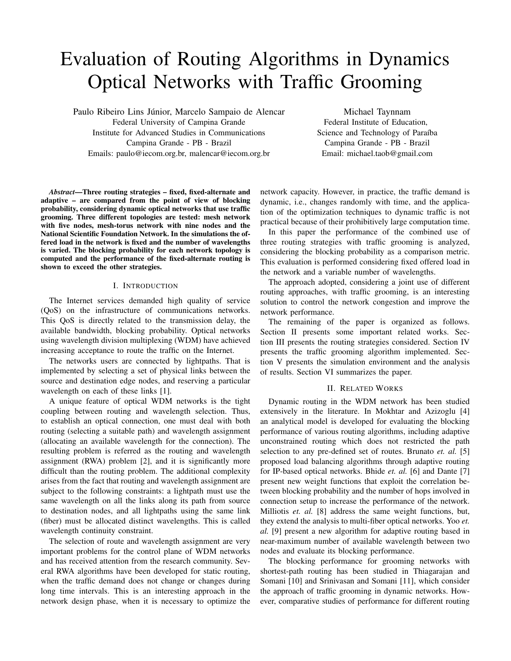# Evaluation of Routing Algorithms in Dynamics Optical Networks with Traffic Grooming

Paulo Ribeiro Lins Júnior, Marcelo Sampaio de Alencar Federal University of Campina Grande Institute for Advanced Studies in Communications Campina Grande - PB - Brazil Emails: paulo@iecom.org.br, malencar@iecom.org.br

Michael Taynnam Federal Institute of Education, Science and Technology of Paraíba Campina Grande - PB - Brazil Email: michael.taob@gmail.com

*Abstract*—Three routing strategies – fixed, fixed-alternate and adaptive – are compared from the point of view of blocking probability, considering dynamic optical networks that use traffic grooming. Three different topologies are tested: mesh network with five nodes, mesh-torus network with nine nodes and the National Scientific Foundation Network. In the simulations the offered load in the network is fixed and the number of wavelengths is varied. The blocking probability for each network topology is computed and the performance of the fixed-alternate routing is shown to exceed the other strategies.

#### I. INTRODUCTION

The Internet services demanded high quality of service (QoS) on the infrastructure of communications networks. This QoS is directly related to the transmission delay, the available bandwidth, blocking probability. Optical networks using wavelength division multiplexing (WDM) have achieved increasing acceptance to route the traffic on the Internet.

The networks users are connected by lightpaths. That is implemented by selecting a set of physical links between the source and destination edge nodes, and reserving a particular wavelength on each of these links [1].

A unique feature of optical WDM networks is the tight coupling between routing and wavelength selection. Thus, to establish an optical connection, one must deal with both routing (selecting a suitable path) and wavelength assignment (allocating an available wavelength for the connection). The resulting problem is referred as the routing and wavelength assignment (RWA) problem [2], and it is significantly more difficult than the routing problem. The additional complexity arises from the fact that routing and wavelength assignment are subject to the following constraints: a lightpath must use the same wavelength on all the links along its path from source to destination nodes, and all lightpaths using the same link (fiber) must be allocated distinct wavelengths. This is called wavelength continuity constraint.

The selection of route and wavelength assignment are very important problems for the control plane of WDM networks and has received attention from the research community. Several RWA algorithms have been developed for static routing, when the traffic demand does not change or changes during long time intervals. This is an interesting approach in the network design phase, when it is necessary to optimize the

network capacity. However, in practice, the traffic demand is dynamic, i.e., changes randomly with time, and the application of the optimization techniques to dynamic traffic is not practical because of their prohibitively large computation time.

In this paper the performance of the combined use of three routing strategies with traffic grooming is analyzed, considering the blocking probability as a comparison metric. This evaluation is performed considering fixed offered load in the network and a variable number of wavelengths.

The approach adopted, considering a joint use of different routing approaches, with traffic grooming, is an interesting solution to control the network congestion and improve the network performance.

The remaining of the paper is organized as follows. Section II presents some important related works. Section III presents the routing strategies considered. Section IV presents the traffic grooming algorithm implemented. Section V presents the simulation environment and the analysis of results. Section VI summarizes the paper.

#### II. RELATED WORKS

Dynamic routing in the WDM network has been studied extensively in the literature. In Mokhtar and Azizoglu [4] an analytical model is developed for evaluating the blocking performance of various routing algorithms, including adaptive unconstrained routing which does not restricted the path selection to any pre-defined set of routes. Brunato *et. al.* [5] proposed load balancing algorithms through adaptive routing for IP-based optical networks. Bhide *et. al.* [6] and Dante [7] present new weight functions that exploit the correlation between blocking probability and the number of hops involved in connection setup to increase the performance of the network. Milliotis *et. al.* [8] address the same weight functions, but, they extend the analysis to multi-fiber optical networks. Yoo *et. al.* [9] present a new algorithm for adaptive routing based in near-maximum number of available wavelength between two nodes and evaluate its blocking performance.

The blocking performance for grooming networks with shortest-path routing has been studied in Thiagarajan and Somani [10] and Srinivasan and Somani [11], which consider the approach of traffic grooming in dynamic networks. However, comparative studies of performance for different routing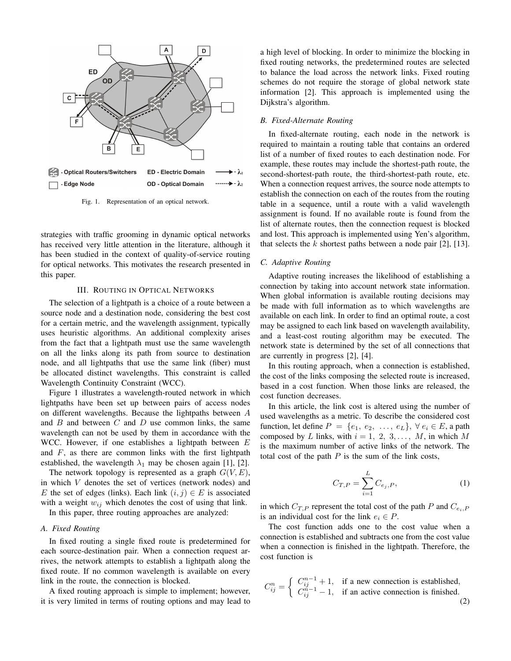

Fig. 1. Representation of an optical network.

strategies with traffic grooming in dynamic optical networks has received very little attention in the literature, although it has been studied in the context of quality-of-service routing for optical networks. This motivates the research presented in this paper.

#### III. ROUTING IN OPTICAL NETWORKS

The selection of a lightpath is a choice of a route between a source node and a destination node, considering the best cost for a certain metric, and the wavelength assignment, typically uses heuristic algorithms. An additional complexity arises from the fact that a lightpath must use the same wavelength on all the links along its path from source to destination node, and all lightpaths that use the same link (fiber) must be allocated distinct wavelengths. This constraint is called Wavelength Continuity Constraint (WCC).

Figure 1 illustrates a wavelength-routed network in which lightpaths have been set up between pairs of access nodes on different wavelengths. Because the lightpaths between A and  $B$  and between  $C$  and  $D$  use common links, the same wavelength can not be used by them in accordance with the WCC. However, if one establishes a lightpath between  $E$ and  $F$ , as there are common links with the first lightpath established, the wavelength  $\lambda_1$  may be chosen again [1], [2].

The network topology is represented as a graph  $G(V, E)$ , in which V denotes the set of vertices (network nodes) and E the set of edges (links). Each link  $(i, j) \in E$  is associated with a weight  $w_{ij}$  which denotes the cost of using that link.

In this paper, three routing approaches are analyzed:

## *A. Fixed Routing*

In fixed routing a single fixed route is predetermined for each source-destination pair. When a connection request arrives, the network attempts to establish a lightpath along the fixed route. If no common wavelength is available on every link in the route, the connection is blocked.

A fixed routing approach is simple to implement; however, it is very limited in terms of routing options and may lead to a high level of blocking. In order to minimize the blocking in fixed routing networks, the predetermined routes are selected to balance the load across the network links. Fixed routing schemes do not require the storage of global network state information [2]. This approach is implemented using the Dijkstra's algorithm.

## *B. Fixed-Alternate Routing*

In fixed-alternate routing, each node in the network is required to maintain a routing table that contains an ordered list of a number of fixed routes to each destination node. For example, these routes may include the shortest-path route, the second-shortest-path route, the third-shortest-path route, etc. When a connection request arrives, the source node attempts to establish the connection on each of the routes from the routing table in a sequence, until a route with a valid wavelength assignment is found. If no available route is found from the list of alternate routes, then the connection request is blocked and lost. This approach is implemented using Yen's algorithm, that selects the  $k$  shortest paths between a node pair [2], [13].

# *C. Adaptive Routing*

Adaptive routing increases the likelihood of establishing a connection by taking into account network state information. When global information is available routing decisions may be made with full information as to which wavelengths are available on each link. In order to find an optimal route, a cost may be assigned to each link based on wavelength availability, and a least-cost routing algorithm may be executed. The network state is determined by the set of all connections that are currently in progress [2], [4].

In this routing approach, when a connection is established, the cost of the links composing the selected route is increased, based in a cost function. When those links are released, the cost function decreases.

In this article, the link cost is altered using the number of used wavelengths as a metric. To describe the considered cost function, let define  $P = \{e_1, e_2, \ldots, e_L\}, \forall e_i \in E$ , a path composed by L links, with  $i = 1, 2, 3, \ldots, M$ , in which M is the maximum number of active links of the network. The total cost of the path  $P$  is the sum of the link costs,

$$
C_{T,P} = \sum_{i=1}^{L} C_{e_j,P},
$$
 (1)

in which  $C_{T,P}$  represent the total cost of the path P and  $C_{e_i,P}$ is an individual cost for the link  $e_i \in P$ .

The cost function adds one to the cost value when a connection is established and subtracts one from the cost value when a connection is finished in the lightpath. Therefore, the cost function is

$$
C_{ij}^{n} = \begin{cases} C_{ij}^{n-1} + 1, & \text{if a new connection is established,} \\ C_{ij}^{n-1} - 1, & \text{if an active connection is finished.} \end{cases}
$$
 (2)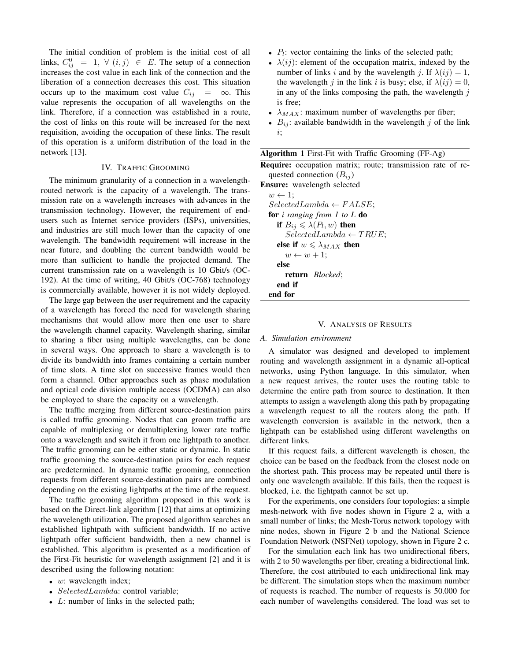The initial condition of problem is the initial cost of all links,  $C_{ij}^0$  = 1,  $\forall$   $(i, j) \in E$ . The setup of a connection increases the cost value in each link of the connection and the liberation of a connection decreases this cost. This situation occurs up to the maximum cost value  $C_{ij} = \infty$ . This value represents the occupation of all wavelengths on the link. Therefore, if a connection was established in a route, the cost of links on this route will be increased for the next requisition, avoiding the occupation of these links. The result of this operation is a uniform distribution of the load in the network [13].

# IV. TRAFFIC GROOMING

The minimum granularity of a connection in a wavelengthrouted network is the capacity of a wavelength. The transmission rate on a wavelength increases with advances in the transmission technology. However, the requirement of endusers such as Internet service providers (ISPs), universities, and industries are still much lower than the capacity of one wavelength. The bandwidth requirement will increase in the near future, and doubling the current bandwidth would be more than sufficient to handle the projected demand. The current transmission rate on a wavelength is 10 Gbit/s (OC-192). At the time of writing, 40 Gbit/s (OC-768) technology is commercially available, however it is not widely deployed.

The large gap between the user requirement and the capacity of a wavelength has forced the need for wavelength sharing mechanisms that would allow more then one user to share the wavelength channel capacity. Wavelength sharing, similar to sharing a fiber using multiple wavelengths, can be done in several ways. One approach to share a wavelength is to divide its bandwidth into frames containing a certain number of time slots. A time slot on successive frames would then form a channel. Other approaches such as phase modulation and optical code division multiple access (OCDMA) can also be employed to share the capacity on a wavelength.

The traffic merging from different source-destination pairs is called traffic grooming. Nodes that can groom traffic are capable of multiplexing or demultiplexing lower rate traffic onto a wavelength and switch it from one lightpath to another. The traffic grooming can be either static or dynamic. In static traffic grooming the source-destination pairs for each request are predetermined. In dynamic traffic grooming, connection requests from different source-destination pairs are combined depending on the existing lightpaths at the time of the request.

The traffic grooming algorithm proposed in this work is based on the Direct-link algorithm [12] that aims at optimizing the wavelength utilization. The proposed algorithm searches an established lightpath with sufficient bandwidth. If no active lightpath offer sufficient bandwidth, then a new channel is established. This algorithm is presented as a modification of the First-Fit heuristic for wavelength assignment [2] and it is described using the following notation:

- $w:$  wavelength index;
- SelectedLambda: control variable;
- $L:$  number of links in the selected path;
- $P_l$ : vector containing the links of the selected path;
- $\lambda(ij)$ : element of the occupation matrix, indexed by the number of links i and by the wavelength j. If  $\lambda(ij) = 1$ , the wavelength j in the link i is busy; else, if  $\lambda(ij) = 0$ , in any of the links composing the path, the wavelength  $j$ is free;
- $\lambda_{MAX}$ : maximum number of wavelengths per fiber;
- $B_{ij}$ : available bandwidth in the wavelength j of the link i;

| <b>Algorithm 1</b> First-Fit with Traffic Grooming (FF-Ag) |  |  |  |
|------------------------------------------------------------|--|--|--|
|                                                            |  |  |  |

Require: occupation matrix; route; transmission rate of requested connection  $(B_{ij})$ 

Ensure: wavelength selected

 $w \leftarrow 1$ ;  $SelectedLambda \leftarrow FALSE;$ for *i ranging from 1 to L* do if  $B_{ij} \leqslant \lambda(P_l, w)$  then  $SelectedLambda \leftarrow TRUE;$ else if  $w \leq \lambda_{MAX}$  then  $w \leftarrow w + 1$ ; else return *Blocked*; end if end for

## V. ANALYSIS OF RESULTS

### *A. Simulation environment*

A simulator was designed and developed to implement routing and wavelength assignment in a dynamic all-optical networks, using Python language. In this simulator, when a new request arrives, the router uses the routing table to determine the entire path from source to destination. It then attempts to assign a wavelength along this path by propagating a wavelength request to all the routers along the path. If wavelength conversion is available in the network, then a lightpath can be established using different wavelengths on different links.

If this request fails, a different wavelength is chosen, the choice can be based on the feedback from the closest node on the shortest path. This process may be repeated until there is only one wavelength available. If this fails, then the request is blocked, i.e. the lightpath cannot be set up.

For the experiments, one considers four topologies: a simple mesh-network with five nodes shown in Figure 2 a, with a small number of links; the Mesh-Torus network topology with nine nodes, shown in Figure 2 b and the National Science Foundation Network (NSFNet) topology, shown in Figure 2 c.

For the simulation each link has two unidirectional fibers, with 2 to 50 wavelengths per fiber, creating a bidirectional link. Therefore, the cost attributed to each unidirectional link may be different. The simulation stops when the maximum number of requests is reached. The number of requests is 50.000 for each number of wavelengths considered. The load was set to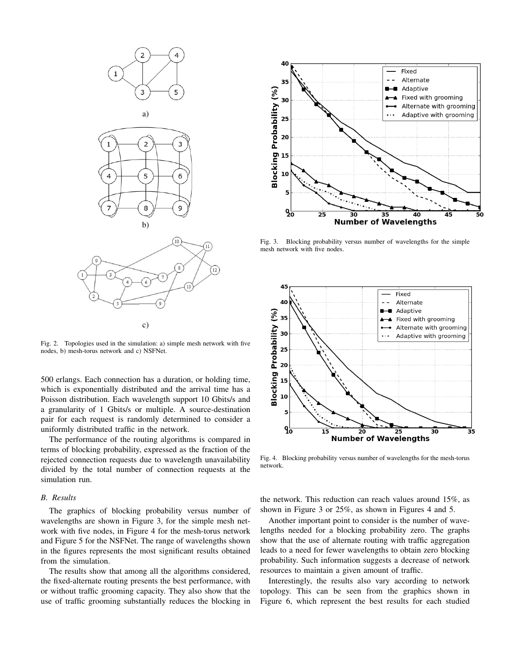

Fig. 2. Topologies used in the simulation: a) simple mesh network with five nodes, b) mesh-torus network and c) NSFNet.

500 erlangs. Each connection has a duration, or holding time, which is exponentially distributed and the arrival time has a Poisson distribution. Each wavelength support 10 Gbits/s and a granularity of 1 Gbits/s or multiple. A source-destination pair for each request is randomly determined to consider a uniformly distributed traffic in the network.

The performance of the routing algorithms is compared in terms of blocking probability, expressed as the fraction of the rejected connection requests due to wavelength unavailability divided by the total number of connection requests at the simulation run.

## *B. Results*

The graphics of blocking probability versus number of wavelengths are shown in Figure 3, for the simple mesh network with five nodes, in Figure 4 for the mesh-torus network and Figure 5 for the NSFNet. The range of wavelengths shown in the figures represents the most significant results obtained from the simulation.

The results show that among all the algorithms considered, the fixed-alternate routing presents the best performance, with or without traffic grooming capacity. They also show that the use of traffic grooming substantially reduces the blocking in



Fig. 3. Blocking probability versus number of wavelengths for the simple mesh network with five nodes.



Fig. 4. Blocking probability versus number of wavelengths for the mesh-torus network.

the network. This reduction can reach values around 15%, as shown in Figure 3 or 25%, as shown in Figures 4 and 5.

Another important point to consider is the number of wavelengths needed for a blocking probability zero. The graphs show that the use of alternate routing with traffic aggregation leads to a need for fewer wavelengths to obtain zero blocking probability. Such information suggests a decrease of network resources to maintain a given amount of traffic.

Interestingly, the results also vary according to network topology. This can be seen from the graphics shown in Figure 6, which represent the best results for each studied